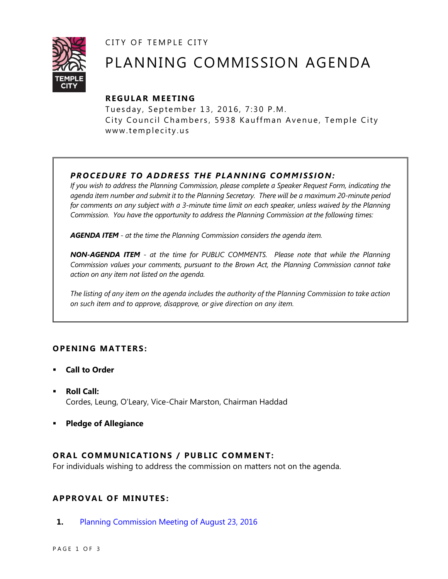CITY OF TEMPLE CITY



# PLANNING COMMISSION AGENDA

# **R EGULA R MEE TING**

Tuesday, September 13, 2016, 7:30 P.M. City Council Chambers, 5938 Kauffman Avenue, Temple City www.templecity.us

# *PRO CE DURE TO ADDRE SS THE P LA NNI NG COMM I SSION:*

*If you wish to address the Planning Commission, please complete a Speaker Request Form, indicating the agenda item number and submit it to the Planning Secretary. There will be a maximum 20-minute period*  for comments on any subject with a 3-minute time limit on each speaker, unless waived by the Planning *Commission. You have the opportunity to address the Planning Commission at the following times:*

*AGENDA ITEM - at the time the Planning Commission considers the agenda item.*

*NON-AGENDA ITEM - at the time for PUBLIC COMMENTS. Please note that while the Planning Commission values your comments, pursuant to the Brown Act, the Planning Commission cannot take action on any item not listed on the agenda.*

*The listing of any item on the agenda includes the authority of the Planning Commission to take action on such item and to approve, disapprove, or give direction on any item.*

### **OPENING MATTERS:**

- **Call to Order**
- **Roll Call:** Cordes, Leung, O'Leary, Vice-Chair Marston, Chairman Haddad
- **Pledge of Allegiance**

### **ORAL COMMUNICATIONS / PUBLIC COMMENT:**

For individuals wishing to address the commission on matters not on the agenda.

### **APPRO VAL OF MINUTES :**

**1.** [Planning Commission Meeting of August 23, 2016](http://ca-templecity.civicplus.com/DocumentCenter/View/6543)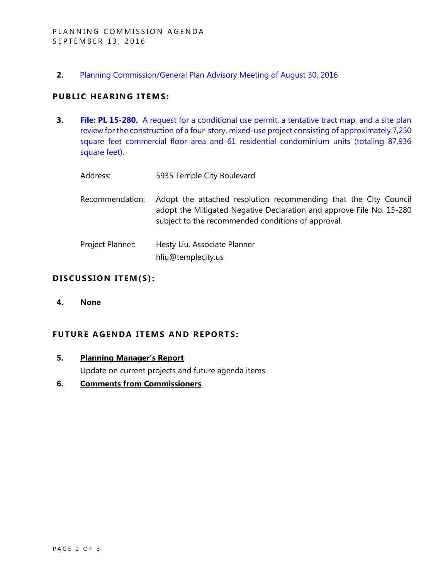**2.** [Planning Commission/General Plan Advisory Meeting of August 30, 2016](http://ca-templecity.civicplus.com/DocumentCenter/View/6542)

## **PUBLIC HEARING ITEMS:**

**3. File: PL 15-280.** [A request for a conditional use permit, a tentative tract map, and a site plan](http://ca-templecity.civicplus.com/DocumentCenter/View/6544)  [review for the construction of a four-story, mixed-use project consisting of approximately 7,250](http://ca-templecity.civicplus.com/DocumentCenter/View/6544)  [square feet commercial floor area and 61 residential condominium units \(totaling 87,936](http://ca-templecity.civicplus.com/DocumentCenter/View/6544)  [square feet\).](http://ca-templecity.civicplus.com/DocumentCenter/View/6544)

| Address:         | 5935 Temple City Boulevard                                                                                                                                                                     |
|------------------|------------------------------------------------------------------------------------------------------------------------------------------------------------------------------------------------|
| Recommendation:  | Adopt the attached resolution recommending that the City Council<br>adopt the Mitigated Negative Declaration and approve File No. 15-280<br>subject to the recommended conditions of approval. |
| Project Planner: | Hesty Liu, Associate Planner<br>hliu@templecity.us                                                                                                                                             |

#### DISCUSSION ITEM(S):

**4. None**

# **FUTURE AGENDA ITEMS AND REPORTS:**

**5. Planning Manager's Report**

Update on current projects and future agenda items.

**6. Comments from Commissioners**